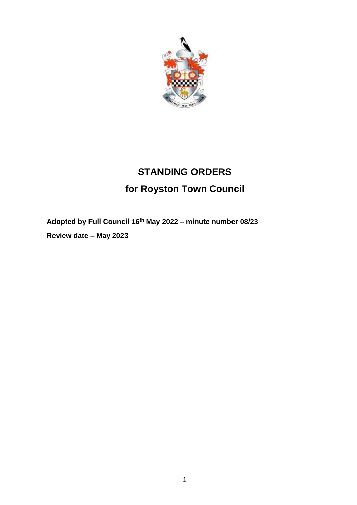

# **STANDING ORDERS for Royston Town Council**

**Adopted by Full Council 16th May 2022 – minute number 08/23**

**Review date – May 2023**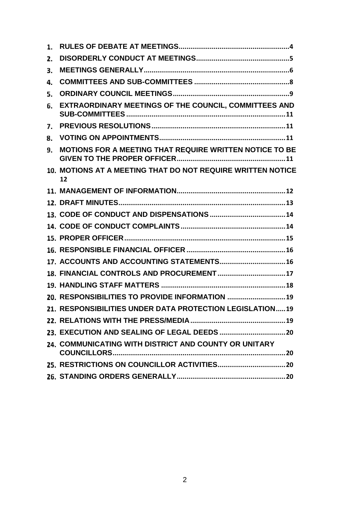| 1. |                                                                   |
|----|-------------------------------------------------------------------|
| 2. |                                                                   |
| 3. |                                                                   |
| 4. |                                                                   |
| 5. |                                                                   |
| 6. | EXTRAORDINARY MEETINGS OF THE COUNCIL, COMMITTEES AND             |
| 7. |                                                                   |
| 8. |                                                                   |
| 9. | MOTIONS FOR A MEETING THAT REQUIRE WRITTEN NOTICE TO BE           |
|    | 10. MOTIONS AT A MEETING THAT DO NOT REQUIRE WRITTEN NOTICE<br>12 |
|    |                                                                   |
|    |                                                                   |
|    |                                                                   |
|    |                                                                   |
|    |                                                                   |
|    |                                                                   |
|    | 17. ACCOUNTS AND ACCOUNTING STATEMENTS 16                         |
|    |                                                                   |
|    |                                                                   |
|    | 20. RESPONSIBILITIES TO PROVIDE INFORMATION  19                   |
|    | 21. RESPONSIBILITIES UNDER DATA PROTECTION LEGISLATION19          |
|    |                                                                   |
|    |                                                                   |
|    | 24. COMMUNICATING WITH DISTRICT AND COUNTY OR UNITARY             |
|    |                                                                   |
|    |                                                                   |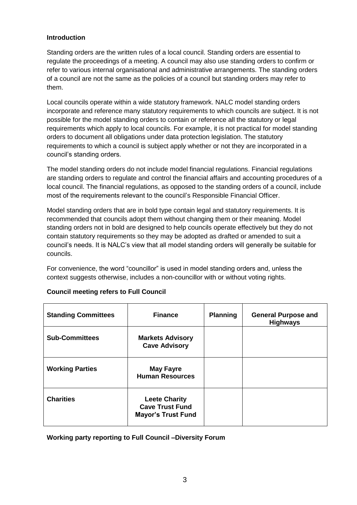# **Introduction**

Standing orders are the written rules of a local council. Standing orders are essential to regulate the proceedings of a meeting. A council may also use standing orders to confirm or refer to various internal organisational and administrative arrangements. The standing orders of a council are not the same as the policies of a council but standing orders may refer to them.

Local councils operate within a wide statutory framework. NALC model standing orders incorporate and reference many statutory requirements to which councils are subject. It is not possible for the model standing orders to contain or reference all the statutory or legal requirements which apply to local councils. For example, it is not practical for model standing orders to document all obligations under data protection legislation. The statutory requirements to which a council is subject apply whether or not they are incorporated in a council's standing orders.

The model standing orders do not include model financial regulations. Financial regulations are standing orders to regulate and control the financial affairs and accounting procedures of a local council. The financial regulations, as opposed to the standing orders of a council, include most of the requirements relevant to the council's Responsible Financial Officer.

Model standing orders that are in bold type contain legal and statutory requirements. It is recommended that councils adopt them without changing them or their meaning. Model standing orders not in bold are designed to help councils operate effectively but they do not contain statutory requirements so they may be adopted as drafted or amended to suit a council's needs. It is NALC's view that all model standing orders will generally be suitable for councils.

For convenience, the word "councillor" is used in model standing orders and, unless the context suggests otherwise, includes a non-councillor with or without voting rights.

| <b>Standing Committees</b> | <b>Finance</b>                                                              | <b>Planning</b> | <b>General Purpose and</b><br><b>Highways</b> |
|----------------------------|-----------------------------------------------------------------------------|-----------------|-----------------------------------------------|
| <b>Sub-Committees</b>      | <b>Markets Advisory</b><br><b>Cave Advisory</b>                             |                 |                                               |
| <b>Working Parties</b>     | <b>May Fayre</b><br><b>Human Resources</b>                                  |                 |                                               |
| <b>Charities</b>           | <b>Leete Charity</b><br><b>Cave Trust Fund</b><br><b>Mayor's Trust Fund</b> |                 |                                               |

# **Council meeting refers to Full Council**

**Working party reporting to Full Council –Diversity Forum**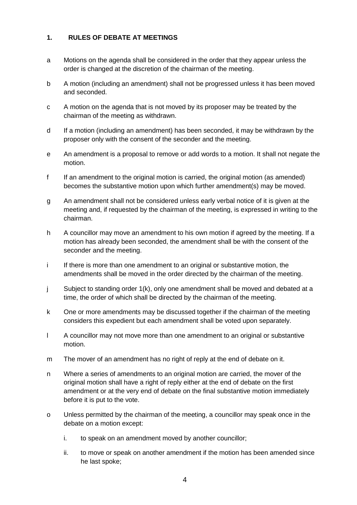# <span id="page-3-0"></span>**1. RULES OF DEBATE AT MEETINGS**

- a Motions on the agenda shall be considered in the order that they appear unless the order is changed at the discretion of the chairman of the meeting.
- b A motion (including an amendment) shall not be progressed unless it has been moved and seconded.
- c A motion on the agenda that is not moved by its proposer may be treated by the chairman of the meeting as withdrawn.
- d If a motion (including an amendment) has been seconded, it may be withdrawn by the proposer only with the consent of the seconder and the meeting.
- e An amendment is a proposal to remove or add words to a motion. It shall not negate the motion.
- f If an amendment to the original motion is carried, the original motion (as amended) becomes the substantive motion upon which further amendment(s) may be moved.
- g An amendment shall not be considered unless early verbal notice of it is given at the meeting and, if requested by the chairman of the meeting, is expressed in writing to the chairman.
- h A councillor may move an amendment to his own motion if agreed by the meeting. If a motion has already been seconded, the amendment shall be with the consent of the seconder and the meeting.
- i If there is more than one amendment to an original or substantive motion, the amendments shall be moved in the order directed by the chairman of the meeting.
- j Subject to standing order 1(k), only one amendment shall be moved and debated at a time, the order of which shall be directed by the chairman of the meeting.
- k One or more amendments may be discussed together if the chairman of the meeting considers this expedient but each amendment shall be voted upon separately.
- l A councillor may not move more than one amendment to an original or substantive motion.
- m The mover of an amendment has no right of reply at the end of debate on it.
- n Where a series of amendments to an original motion are carried, the mover of the original motion shall have a right of reply either at the end of debate on the first amendment or at the very end of debate on the final substantive motion immediately before it is put to the vote.
- o Unless permitted by the chairman of the meeting, a councillor may speak once in the debate on a motion except:
	- i. to speak on an amendment moved by another councillor;
	- ii. to move or speak on another amendment if the motion has been amended since he last spoke;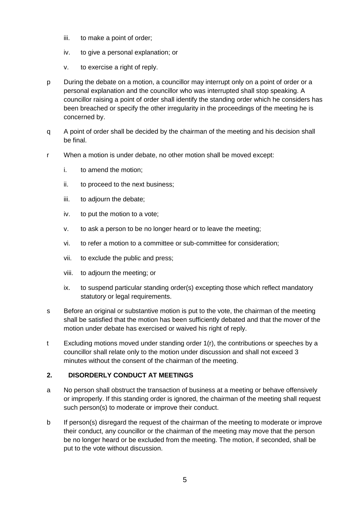- iii. to make a point of order;
- iv. to give a personal explanation; or
- v. to exercise a right of reply.
- p During the debate on a motion, a councillor may interrupt only on a point of order or a personal explanation and the councillor who was interrupted shall stop speaking. A councillor raising a point of order shall identify the standing order which he considers has been breached or specify the other irregularity in the proceedings of the meeting he is concerned by.
- q A point of order shall be decided by the chairman of the meeting and his decision shall be final.
- r When a motion is under debate, no other motion shall be moved except:
	- i. to amend the motion;
	- ii. to proceed to the next business;
	- iii. to adjourn the debate;
	- iv. to put the motion to a vote;
	- v. to ask a person to be no longer heard or to leave the meeting;
	- vi. to refer a motion to a committee or sub-committee for consideration;
	- vii. to exclude the public and press;
	- viii. to adjourn the meeting; or
	- ix. to suspend particular standing order(s) excepting those which reflect mandatory statutory or legal requirements.
- s Before an original or substantive motion is put to the vote, the chairman of the meeting shall be satisfied that the motion has been sufficiently debated and that the mover of the motion under debate has exercised or waived his right of reply.
- t Excluding motions moved under standing order 1(r), the contributions or speeches by a councillor shall relate only to the motion under discussion and shall not exceed 3 minutes without the consent of the chairman of the meeting.

# <span id="page-4-0"></span>**2. DISORDERLY CONDUCT AT MEETINGS**

- a No person shall obstruct the transaction of business at a meeting or behave offensively or improperly. If this standing order is ignored, the chairman of the meeting shall request such person(s) to moderate or improve their conduct.
- b If person(s) disregard the request of the chairman of the meeting to moderate or improve their conduct, any councillor or the chairman of the meeting may move that the person be no longer heard or be excluded from the meeting. The motion, if seconded, shall be put to the vote without discussion.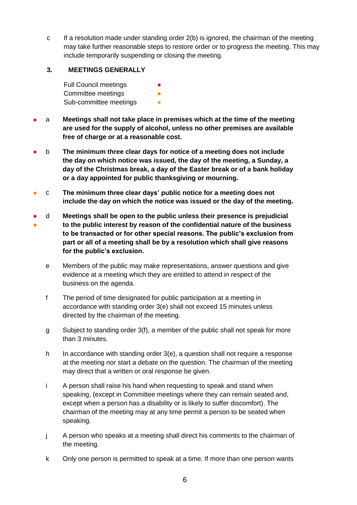c If a resolution made under standing order 2(b) is ignored, the chairman of the meeting may take further reasonable steps to restore order or to progress the meeting. This may include temporarily suspending or closing the meeting.

# <span id="page-5-0"></span>**3. MEETINGS GENERALLY**

Full Council meetings **●** Committee meetings **•** Sub-committee meetings **•** 

- a **Meetings shall not take place in premises which at the time of the meeting are used for the supply of alcohol, unless no other premises are available free of charge or at a reasonable cost.**
- b **The minimum three clear days for notice of a meeting does not include the day on which notice was issued, the day of the meeting, a Sunday, a day of the Christmas break, a day of the Easter break or of a bank holiday or a day appointed for public thanksgiving or mourning.**
- c **The minimum three clear days' public notice for a meeting does not include the day on which the notice was issued or the day of the meeting.**
- ● d **Meetings shall be open to the public unless their presence is prejudicial to the public interest by reason of the confidential nature of the business to be transacted or for other special reasons. The public's exclusion from part or all of a meeting shall be by a resolution which shall give reasons for the public's exclusion.**
	- e Members of the public may make representations, answer questions and give evidence at a meeting which they are entitled to attend in respect of the business on the agenda.
	- f The period of time designated for public participation at a meeting in accordance with standing order 3(e) shall not exceed 15 minutes unless directed by the chairman of the meeting.
	- g Subject to standing order 3(f), a member of the public shall not speak for more than 3 minutes.
	- h In accordance with standing order  $3(e)$ , a question shall not require a response at the meeting nor start a debate on the question. The chairman of the meeting may direct that a written or oral response be given.
	- i A person shall raise his hand when requesting to speak and stand when speaking, (except in Committee meetings where they can remain seated and, except when a person has a disability or is likely to suffer discomfort). The chairman of the meeting may at any time permit a person to be seated when speaking.
	- j A person who speaks at a meeting shall direct his comments to the chairman of the meeting.
	- k Only one person is permitted to speak at a time. If more than one person wants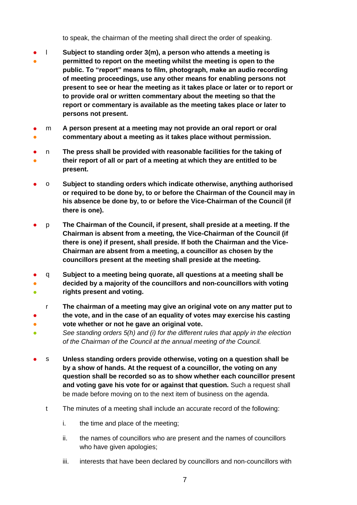to speak, the chairman of the meeting shall direct the order of speaking.

- ● l **Subject to standing order 3(m), a person who attends a meeting is permitted to report on the meeting whilst the meeting is open to the public. To "report" means to film, photograph, make an audio recording of meeting proceedings, use any other means for enabling persons not present to see or hear the meeting as it takes place or later or to report or to provide oral or written commentary about the meeting so that the report or commentary is available as the meeting takes place or later to persons not present.**
- ● m **A person present at a meeting may not provide an oral report or oral commentary about a meeting as it takes place without permission.**
- ● n **The press shall be provided with reasonable facilities for the taking of their report of all or part of a meeting at which they are entitled to be present.**
- o **Subject to standing orders which indicate otherwise, anything authorised or required to be done by, to or before the Chairman of the Council may in his absence be done by, to or before the Vice-Chairman of the Council (if there is one).**
- p **The Chairman of the Council, if present, shall preside at a meeting. If the Chairman is absent from a meeting, the Vice-Chairman of the Council (if there is one) if present, shall preside. If both the Chairman and the Vice-Chairman are absent from a meeting, a councillor as chosen by the councillors present at the meeting shall preside at the meeting.**
- q **Subject to a meeting being quorate, all questions at a meeting shall be**
- ● **decided by a majority of the councillors and non-councillors with voting rights present and voting.**
- r **The chairman of a meeting may give an original vote on any matter put to**
- **the vote, and in the case of an equality of votes may exercise his casting**
- **vote whether or not he gave an original vote.**
- *See standing orders 5(h) and (i) for the different rules that apply in the election of the Chairman of the Council at the annual meeting of the Council.*
- s **Unless standing orders provide otherwise, voting on a question shall be by a show of hands. At the request of a councillor, the voting on any question shall be recorded so as to show whether each councillor present and voting gave his vote for or against that question.** Such a request shall be made before moving on to the next item of business on the agenda.
	- t The minutes of a meeting shall include an accurate record of the following:
		- i. the time and place of the meeting;
		- ii. the names of councillors who are present and the names of councillors who have given apologies;
		- iii. interests that have been declared by councillors and non-councillors with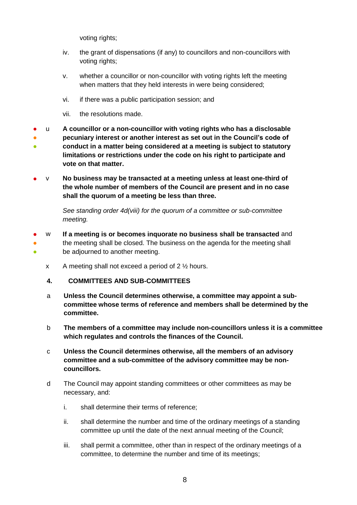voting rights;

- iv. the grant of dispensations (if any) to councillors and non-councillors with voting rights;
- v. whether a councillor or non-councillor with voting rights left the meeting when matters that they held interests in were being considered;
- vi. if there was a public participation session; and
- vii. the resolutions made.
- ● ● u **A councillor or a non-councillor with voting rights who has a disclosable pecuniary interest or another interest as set out in the Council's code of conduct in a matter being considered at a meeting is subject to statutory limitations or restrictions under the code on his right to participate and vote on that matter.**
- v **No business may be transacted at a meeting unless at least one-third of the whole number of members of the Council are present and in no case shall the quorum of a meeting be less than three.**

*See standing order 4d(viii) for the quorum of a committee or sub-committee meeting.* 

- <span id="page-7-0"></span>● ● ● w **If a meeting is or becomes inquorate no business shall be transacted** and the meeting shall be closed. The business on the agenda for the meeting shall be adjourned to another meeting.
	- x A meeting shall not exceed a period of 2 ½ hours.
	- **4. COMMITTEES AND SUB-COMMITTEES**
	- a **Unless the Council determines otherwise, a committee may appoint a subcommittee whose terms of reference and members shall be determined by the committee.**
	- b **The members of a committee may include non-councillors unless it is a committee which regulates and controls the finances of the Council.**
	- c **Unless the Council determines otherwise, all the members of an advisory committee and a sub-committee of the advisory committee may be noncouncillors.**
	- d The Council may appoint standing committees or other committees as may be necessary, and:
		- i. shall determine their terms of reference;
		- ii. shall determine the number and time of the ordinary meetings of a standing committee up until the date of the next annual meeting of the Council;
		- iii. shall permit a committee, other than in respect of the ordinary meetings of a committee, to determine the number and time of its meetings;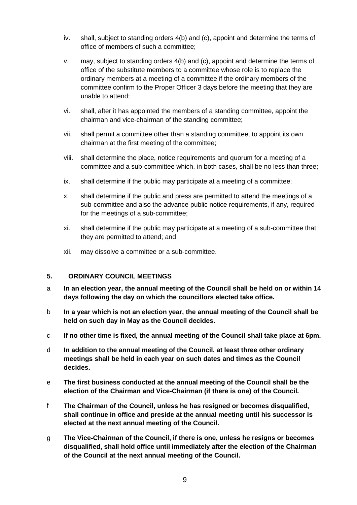- iv. shall, subject to standing orders 4(b) and (c), appoint and determine the terms of office of members of such a committee;
- v. may, subject to standing orders 4(b) and (c), appoint and determine the terms of office of the substitute members to a committee whose role is to replace the ordinary members at a meeting of a committee if the ordinary members of the committee confirm to the Proper Officer 3 days before the meeting that they are unable to attend;
- vi. shall, after it has appointed the members of a standing committee, appoint the chairman and vice-chairman of the standing committee;
- vii. shall permit a committee other than a standing committee, to appoint its own chairman at the first meeting of the committee;
- viii. shall determine the place, notice requirements and quorum for a meeting of a committee and a sub-committee which, in both cases, shall be no less than three;
- ix. shall determine if the public may participate at a meeting of a committee;
- x. shall determine if the public and press are permitted to attend the meetings of a sub-committee and also the advance public notice requirements, if any, required for the meetings of a sub-committee;
- xi. shall determine if the public may participate at a meeting of a sub-committee that they are permitted to attend; and
- xii. may dissolve a committee or a sub-committee.

#### <span id="page-8-0"></span>**5. ORDINARY COUNCIL MEETINGS**

- a **In an election year, the annual meeting of the Council shall be held on or within 14 days following the day on which the councillors elected take office.**
- b **In a year which is not an election year, the annual meeting of the Council shall be held on such day in May as the Council decides.**
- c **If no other time is fixed, the annual meeting of the Council shall take place at 6pm.**
- d **In addition to the annual meeting of the Council, at least three other ordinary meetings shall be held in each year on such dates and times as the Council decides.**
- e **The first business conducted at the annual meeting of the Council shall be the election of the Chairman and Vice-Chairman (if there is one) of the Council.**
- f **The Chairman of the Council, unless he has resigned or becomes disqualified, shall continue in office and preside at the annual meeting until his successor is elected at the next annual meeting of the Council.**
- g **The Vice-Chairman of the Council, if there is one, unless he resigns or becomes disqualified, shall hold office until immediately after the election of the Chairman of the Council at the next annual meeting of the Council.**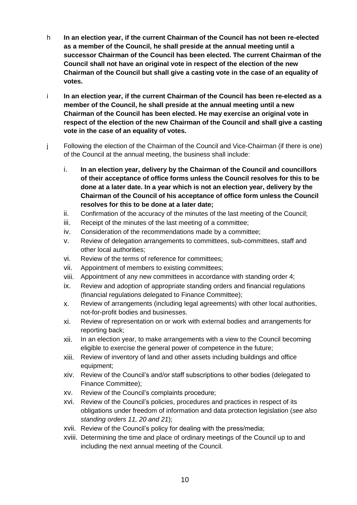- h **In an election year, if the current Chairman of the Council has not been re-elected as a member of the Council, he shall preside at the annual meeting until a successor Chairman of the Council has been elected. The current Chairman of the Council shall not have an original vote in respect of the election of the new Chairman of the Council but shall give a casting vote in the case of an equality of votes.**
- i **In an election year, if the current Chairman of the Council has been re-elected as a member of the Council, he shall preside at the annual meeting until a new Chairman of the Council has been elected. He may exercise an original vote in respect of the election of the new Chairman of the Council and shall give a casting vote in the case of an equality of votes.**
- j Following the election of the Chairman of the Council and Vice-Chairman (if there is one) of the Council at the annual meeting, the business shall include:
	- i. **In an election year, delivery by the Chairman of the Council and councillors of their acceptance of office forms unless the Council resolves for this to be done at a later date. In a year which is not an election year, delivery by the Chairman of the Council of his acceptance of office form unless the Council resolves for this to be done at a later date;**
	- ii. Confirmation of the accuracy of the minutes of the last meeting of the Council;
	- iii. Receipt of the minutes of the last meeting of a committee;
	- iv. Consideration of the recommendations made by a committee;
	- v. Review of delegation arrangements to committees, sub-committees, staff and other local authorities;
	- vi. Review of the terms of reference for committees;
	- vii. Appointment of members to existing committees;
	- viii. Appointment of any new committees in accordance with standing order 4;
	- ix. Review and adoption of appropriate standing orders and financial regulations (financial regulations delegated to Finance Committee);
	- x. Review of arrangements (including legal agreements) with other local authorities, not-for-profit bodies and businesses.
	- xi. Review of representation on or work with external bodies and arrangements for reporting back;
	- xii. In an election year, to make arrangements with a view to the Council becoming eligible to exercise the general power of competence in the future;
	- xiii. Review of inventory of land and other assets including buildings and office equipment;
	- xiv. Review of the Council's and/or staff subscriptions to other bodies (delegated to Finance Committee);
	- xv. Review of the Council's complaints procedure;
	- xvi. Review of the Council's policies, procedures and practices in respect of its obligations under freedom of information and data protection legislation (*see also standing orders 11, 20 and 21*);
	- xvii. Review of the Council's policy for dealing with the press/media;
	- xviii. Determining the time and place of ordinary meetings of the Council up to and including the next annual meeting of the Council.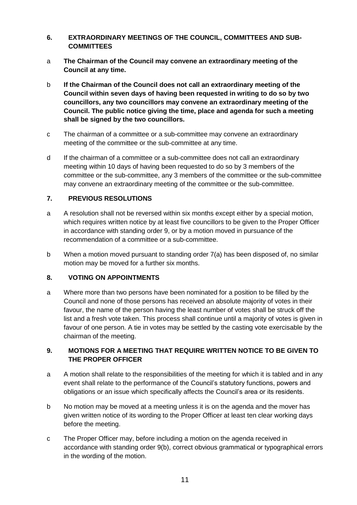# <span id="page-10-0"></span>**6. EXTRAORDINARY MEETINGS OF THE COUNCIL, COMMITTEES AND SUB-COMMITTEES**

- a **The Chairman of the Council may convene an extraordinary meeting of the Council at any time.**
- b **If the Chairman of the Council does not call an extraordinary meeting of the Council within seven days of having been requested in writing to do so by two councillors, any two councillors may convene an extraordinary meeting of the Council. The public notice giving the time, place and agenda for such a meeting shall be signed by the two councillors.**
- c The chairman of a committee or a sub-committee may convene an extraordinary meeting of the committee or the sub-committee at any time.
- d If the chairman of a committee or a sub-committee does not call an extraordinary meeting within 10 days of having been requested to do so by 3 members of the committee or the sub-committee, any 3 members of the committee or the sub-committee may convene an extraordinary meeting of the committee or the sub-committee.

# <span id="page-10-1"></span>**7. PREVIOUS RESOLUTIONS**

- a A resolution shall not be reversed within six months except either by a special motion, which requires written notice by at least five councillors to be given to the Proper Officer in accordance with standing order 9, or by a motion moved in pursuance of the recommendation of a committee or a sub-committee.
- b When a motion moved pursuant to standing order 7(a) has been disposed of, no similar motion may be moved for a further six months.

# <span id="page-10-2"></span>**8. VOTING ON APPOINTMENTS**

a Where more than two persons have been nominated for a position to be filled by the Council and none of those persons has received an absolute majority of votes in their favour, the name of the person having the least number of votes shall be struck off the list and a fresh vote taken. This process shall continue until a majority of votes is given in favour of one person. A tie in votes may be settled by the casting vote exercisable by the chairman of the meeting.

# <span id="page-10-3"></span>**9. MOTIONS FOR A MEETING THAT REQUIRE WRITTEN NOTICE TO BE GIVEN TO THE PROPER OFFICER**

- a A motion shall relate to the responsibilities of the meeting for which it is tabled and in any event shall relate to the performance of the Council's statutory functions, powers and obligations or an issue which specifically affects the Council's area or its residents.
- b No motion may be moved at a meeting unless it is on the agenda and the mover has given written notice of its wording to the Proper Officer at least ten clear working days before the meeting.
- c The Proper Officer may, before including a motion on the agenda received in accordance with standing order 9(b), correct obvious grammatical or typographical errors in the wording of the motion.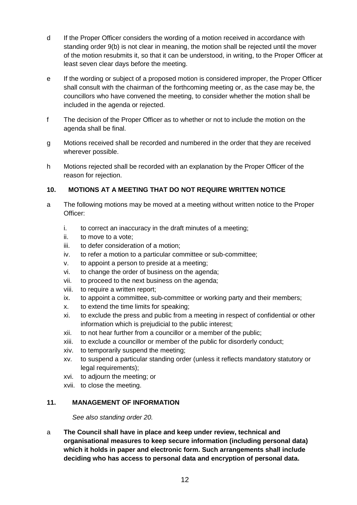- d If the Proper Officer considers the wording of a motion received in accordance with standing order 9(b) is not clear in meaning, the motion shall be rejected until the mover of the motion resubmits it, so that it can be understood, in writing, to the Proper Officer at least seven clear days before the meeting.
- e If the wording or subject of a proposed motion is considered improper, the Proper Officer shall consult with the chairman of the forthcoming meeting or, as the case may be, the councillors who have convened the meeting, to consider whether the motion shall be included in the agenda or rejected.
- f The decision of the Proper Officer as to whether or not to include the motion on the agenda shall be final.
- g Motions received shall be recorded and numbered in the order that they are received wherever possible.
- h Motions rejected shall be recorded with an explanation by the Proper Officer of the reason for rejection.

# <span id="page-11-0"></span>**10. MOTIONS AT A MEETING THAT DO NOT REQUIRE WRITTEN NOTICE**

- a The following motions may be moved at a meeting without written notice to the Proper Officer:
	- i. to correct an inaccuracy in the draft minutes of a meeting;
	- ii. to move to a vote;
	- iii. to defer consideration of a motion;
	- iv. to refer a motion to a particular committee or sub-committee;
	- v. to appoint a person to preside at a meeting;
	- vi. to change the order of business on the agenda;
	- vii. to proceed to the next business on the agenda;
	- viii. to require a written report;
	- ix. to appoint a committee, sub-committee or working party and their members;
	- x. to extend the time limits for speaking;
	- xi. to exclude the press and public from a meeting in respect of confidential or other information which is prejudicial to the public interest;
	- xii. to not hear further from a councillor or a member of the public;
	- xiii. to exclude a councillor or member of the public for disorderly conduct;
	- xiv. to temporarily suspend the meeting;
	- xv. to suspend a particular standing order (unless it reflects mandatory statutory or legal requirements);
	- xvi. to adjourn the meeting; or
	- xvii. to close the meeting.

#### <span id="page-11-1"></span>**11. MANAGEMENT OF INFORMATION**

*See also standing order 20.*

a **The Council shall have in place and keep under review, technical and organisational measures to keep secure information (including personal data) which it holds in paper and electronic form. Such arrangements shall include deciding who has access to personal data and encryption of personal data.**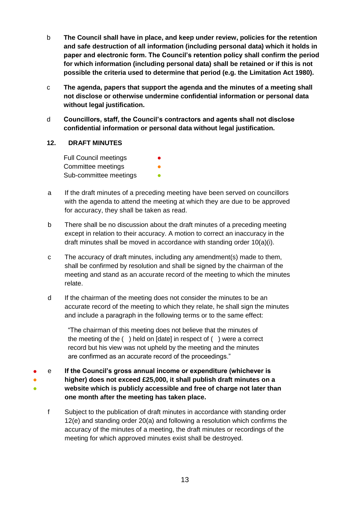- b **The Council shall have in place, and keep under review, policies for the retention and safe destruction of all information (including personal data) which it holds in paper and electronic form. The Council's retention policy shall confirm the period for which information (including personal data) shall be retained or if this is not possible the criteria used to determine that period (e.g. the Limitation Act 1980).**
- c **The agenda, papers that support the agenda and the minutes of a meeting shall not disclose or otherwise undermine confidential information or personal data without legal justification.**
- d **Councillors, staff, the Council's contractors and agents shall not disclose confidential information or personal data without legal justification.**

# <span id="page-12-0"></span>**12. DRAFT MINUTES**

Full Council meetings Committee meetings Sub-committee meetings

- a If the draft minutes of a preceding meeting have been served on councillors with the agenda to attend the meeting at which they are due to be approved for accuracy, they shall be taken as read.
- b There shall be no discussion about the draft minutes of a preceding meeting except in relation to their accuracy. A motion to correct an inaccuracy in the draft minutes shall be moved in accordance with standing order 10(a)(i).
- c The accuracy of draft minutes, including any amendment(s) made to them, shall be confirmed by resolution and shall be signed by the chairman of the meeting and stand as an accurate record of the meeting to which the minutes relate.
- d If the chairman of the meeting does not consider the minutes to be an accurate record of the meeting to which they relate, he shall sign the minutes and include a paragraph in the following terms or to the same effect:

"The chairman of this meeting does not believe that the minutes of the meeting of the ( ) held on [date] in respect of ( ) were a correct record but his view was not upheld by the meeting and the minutes are confirmed as an accurate record of the proceedings."

● ● ● e **If the Council's gross annual income or expenditure (whichever is higher) does not exceed £25,000, it shall publish draft minutes on a website which is publicly accessible and free of charge not later than one month after the meeting has taken place.**

f Subject to the publication of draft minutes in accordance with standing order 12(e) and standing order 20(a) and following a resolution which confirms the accuracy of the minutes of a meeting, the draft minutes or recordings of the meeting for which approved minutes exist shall be destroyed.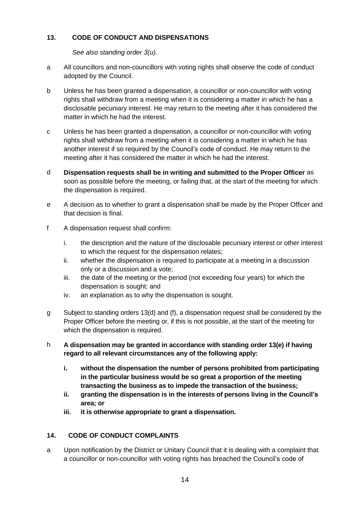# <span id="page-13-0"></span>**13. CODE OF CONDUCT AND DISPENSATIONS**

*See also standing order 3(u).*

- a All councillors and non-councillors with voting rights shall observe the code of conduct adopted by the Council.
- b Unless he has been granted a dispensation, a councillor or non-councillor with voting rights shall withdraw from a meeting when it is considering a matter in which he has a disclosable pecuniary interest. He may return to the meeting after it has considered the matter in which he had the interest.
- c Unless he has been granted a dispensation, a councillor or non-councillor with voting rights shall withdraw from a meeting when it is considering a matter in which he has another interest if so required by the Council's code of conduct. He may return to the meeting after it has considered the matter in which he had the interest.
- d **Dispensation requests shall be in writing and submitted to the Proper Officer** as soon as possible before the meeting, or failing that, at the start of the meeting for which the dispensation is required.
- e A decision as to whether to grant a dispensation shall be made by the Proper Officer and that decision is final.
- f A dispensation request shall confirm:
	- i. the description and the nature of the disclosable pecuniary interest or other interest to which the request for the dispensation relates;
	- ii. whether the dispensation is required to participate at a meeting in a discussion only or a discussion and a vote;
	- iii. the date of the meeting or the period (not exceeding four years) for which the dispensation is sought; and
	- iv. an explanation as to why the dispensation is sought.
- g Subject to standing orders 13(d) and (f), a dispensation request shall be considered by the Proper Officer before the meeting or, if this is not possible, at the start of the meeting for which the dispensation is required.
- h **A dispensation may be granted in accordance with standing order 13(e) if having regard to all relevant circumstances any of the following apply:**
	- **i. without the dispensation the number of persons prohibited from participating in the particular business would be so great a proportion of the meeting transacting the business as to impede the transaction of the business;**
	- **ii. granting the dispensation is in the interests of persons living in the Council's area; or**
	- **iii. it is otherwise appropriate to grant a dispensation.**

# <span id="page-13-1"></span>**14. CODE OF CONDUCT COMPLAINTS**

a Upon notification by the District or Unitary Council that it is dealing with a complaint that a councillor or non-councillor with voting rights has breached the Council's code of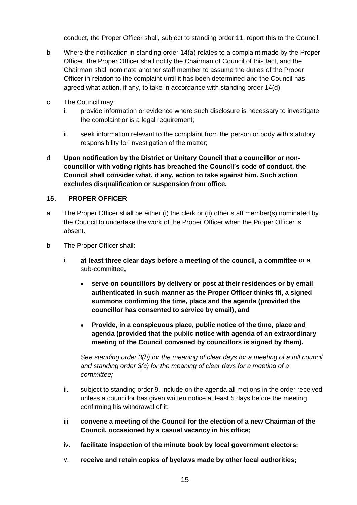conduct, the Proper Officer shall, subject to standing order 11, report this to the Council.

- b Where the notification in standing order 14(a) relates to a complaint made by the Proper Officer, the Proper Officer shall notify the Chairman of Council of this fact, and the Chairman shall nominate another staff member to assume the duties of the Proper Officer in relation to the complaint until it has been determined and the Council has agreed what action, if any, to take in accordance with standing order 14(d).
- c The Council may:
	- i. provide information or evidence where such disclosure is necessary to investigate the complaint or is a legal requirement;
	- ii. seek information relevant to the complaint from the person or body with statutory responsibility for investigation of the matter;
- d **Upon notification by the District or Unitary Council that a councillor or noncouncillor with voting rights has breached the Council's code of conduct, the Council shall consider what, if any, action to take against him. Such action excludes disqualification or suspension from office.**

#### <span id="page-14-0"></span>**15. PROPER OFFICER**

- a The Proper Officer shall be either (i) the clerk or (ii) other staff member(s) nominated by the Council to undertake the work of the Proper Officer when the Proper Officer is absent.
- b The Proper Officer shall:
	- i. **at least three clear days before a meeting of the council, a committee** or a sub-committee**,**
		- **serve on councillors by delivery or post at their residences or by email authenticated in such manner as the Proper Officer thinks fit, a signed summons confirming the time, place and the agenda (provided the councillor has consented to service by email), and**
		- **Provide, in a conspicuous place, public notice of the time, place and agenda (provided that the public notice with agenda of an extraordinary meeting of the Council convened by councillors is signed by them).**

*See standing order 3(b) for the meaning of clear days for a meeting of a full council and standing order 3(c) for the meaning of clear days for a meeting of a committee;*

- ii. subject to standing order 9, include on the agenda all motions in the order received unless a councillor has given written notice at least 5 days before the meeting confirming his withdrawal of it;
- iii. **convene a meeting of the Council for the election of a new Chairman of the Council, occasioned by a casual vacancy in his office;**
- iv. **facilitate inspection of the minute book by local government electors;**
- v. **receive and retain copies of byelaws made by other local authorities;**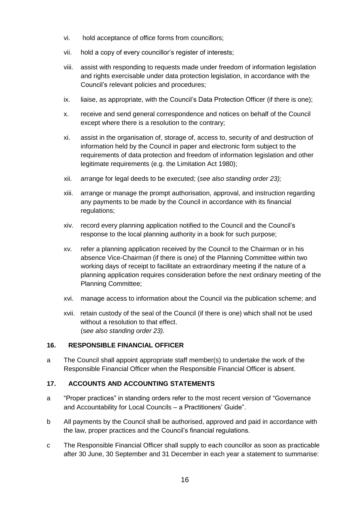- vi. hold acceptance of office forms from councillors;
- vii. hold a copy of every councillor's register of interests;
- viii. assist with responding to requests made under freedom of information legislation and rights exercisable under data protection legislation, in accordance with the Council's relevant policies and procedures;
- ix. liaise, as appropriate, with the Council's Data Protection Officer (if there is one);
- x. receive and send general correspondence and notices on behalf of the Council except where there is a resolution to the contrary;
- xi. assist in the organisation of, storage of, access to, security of and destruction of information held by the Council in paper and electronic form subject to the requirements of data protection and freedom of information legislation and other legitimate requirements (e.g. the Limitation Act 1980);
- xii. arrange for legal deeds to be executed; (*see also standing order 23);*
- xiii. arrange or manage the prompt authorisation, approval, and instruction regarding any payments to be made by the Council in accordance with its financial regulations;
- xiv. record every planning application notified to the Council and the Council's response to the local planning authority in a book for such purpose;
- xv. refer a planning application received by the Council to the Chairman or in his absence Vice-Chairman (if there is one) of the Planning Committee within two working days of receipt to facilitate an extraordinary meeting if the nature of a planning application requires consideration before the next ordinary meeting of the Planning Committee;
- xvi. manage access to information about the Council via the publication scheme; and
- xvii. retain custody of the seal of the Council (if there is one) which shall not be used without a resolution to that effect. (s*ee also standing order 23).*

# <span id="page-15-0"></span>**16. RESPONSIBLE FINANCIAL OFFICER**

a The Council shall appoint appropriate staff member(s) to undertake the work of the Responsible Financial Officer when the Responsible Financial Officer is absent.

# <span id="page-15-1"></span>**17. ACCOUNTS AND ACCOUNTING STATEMENTS**

- a "Proper practices" in standing orders refer to the most recent version of "Governance and Accountability for Local Councils – a Practitioners' Guide".
- b All payments by the Council shall be authorised, approved and paid in accordance with the law, proper practices and the Council's financial regulations.
- c The Responsible Financial Officer shall supply to each councillor as soon as practicable after 30 June, 30 September and 31 December in each year a statement to summarise: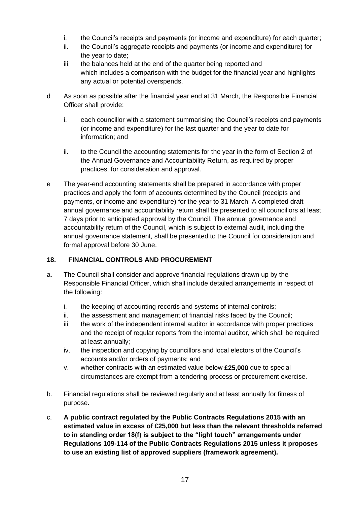- i. the Council's receipts and payments (or income and expenditure) for each quarter;
- ii. the Council's aggregate receipts and payments (or income and expenditure) for the year to date;
- iii. the balances held at the end of the quarter being reported and which includes a comparison with the budget for the financial year and highlights any actual or potential overspends.
- d As soon as possible after the financial year end at 31 March, the Responsible Financial Officer shall provide:
	- i. each councillor with a statement summarising the Council's receipts and payments (or income and expenditure) for the last quarter and the year to date for information; and
	- ii. to the Council the accounting statements for the year in the form of Section 2 of the Annual Governance and Accountability Return, as required by proper practices, for consideration and approval.
- e The year-end accounting statements shall be prepared in accordance with proper practices and apply the form of accounts determined by the Council (receipts and payments, or income and expenditure) for the year to 31 March. A completed draft annual governance and accountability return shall be presented to all councillors at least 7 days prior to anticipated approval by the Council. The annual governance and accountability return of the Council, which is subject to external audit, including the annual governance statement, shall be presented to the Council for consideration and formal approval before 30 June.

# <span id="page-16-0"></span>**18. FINANCIAL CONTROLS AND PROCUREMENT**

- a. The Council shall consider and approve financial regulations drawn up by the Responsible Financial Officer, which shall include detailed arrangements in respect of the following:
	- i. the keeping of accounting records and systems of internal controls;
	- ii. the assessment and management of financial risks faced by the Council;
	- iii. the work of the independent internal auditor in accordance with proper practices and the receipt of regular reports from the internal auditor, which shall be required at least annually;
	- iv. the inspection and copying by councillors and local electors of the Council's accounts and/or orders of payments; and
	- v. whether contracts with an estimated value below **£25,000** due to special circumstances are exempt from a tendering process or procurement exercise.
- b. Financial regulations shall be reviewed regularly and at least annually for fitness of purpose.
- c. **A public contract regulated by the Public Contracts Regulations 2015 with an estimated value in excess of £25,000 but less than the relevant thresholds referred to in standing order 18(f) is subject to the "light touch" arrangements under Regulations 109-114 of the Public Contracts Regulations 2015 unless it proposes to use an existing list of approved suppliers (framework agreement).**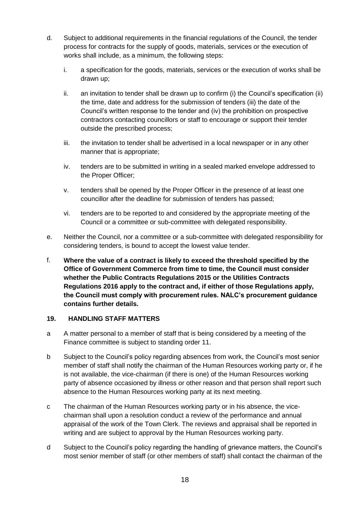- d. Subject to additional requirements in the financial regulations of the Council, the tender process for contracts for the supply of goods, materials, services or the execution of works shall include, as a minimum, the following steps:
	- i. a specification for the goods, materials, services or the execution of works shall be drawn up;
	- ii. an invitation to tender shall be drawn up to confirm (i) the Council's specification (ii) the time, date and address for the submission of tenders (iii) the date of the Council's written response to the tender and (iv) the prohibition on prospective contractors contacting councillors or staff to encourage or support their tender outside the prescribed process;
	- iii. the invitation to tender shall be advertised in a local newspaper or in any other manner that is appropriate;
	- iv. tenders are to be submitted in writing in a sealed marked envelope addressed to the Proper Officer;
	- v. tenders shall be opened by the Proper Officer in the presence of at least one councillor after the deadline for submission of tenders has passed;
	- vi. tenders are to be reported to and considered by the appropriate meeting of the Council or a committee or sub-committee with delegated responsibility.
- e. Neither the Council, nor a committee or a sub-committee with delegated responsibility for considering tenders, is bound to accept the lowest value tender.
- f. **Where the value of a contract is likely to exceed the threshold specified by the Office of Government Commerce from time to time, the Council must consider whether the Public Contracts Regulations 2015 or the Utilities Contracts Regulations 2016 apply to the contract and, if either of those Regulations apply, the Council must comply with procurement rules. NALC's procurement guidance contains further details.**

#### <span id="page-17-0"></span>**19. HANDLING STAFF MATTERS**

- a A matter personal to a member of staff that is being considered by a meeting of the Finance committee is subject to standing order 11.
- b Subject to the Council's policy regarding absences from work, the Council's most senior member of staff shall notify the chairman of the Human Resources working party or, if he is not available, the vice-chairman (if there is one) of the Human Resources working party of absence occasioned by illness or other reason and that person shall report such absence to the Human Resources working party at its next meeting.
- c The chairman of the Human Resources working party or in his absence, the vicechairman shall upon a resolution conduct a review of the performance and annual appraisal of the work of the Town Clerk. The reviews and appraisal shall be reported in writing and are subject to approval by the Human Resources working party.
- d Subject to the Council's policy regarding the handling of grievance matters, the Council's most senior member of staff (or other members of staff) shall contact the chairman of the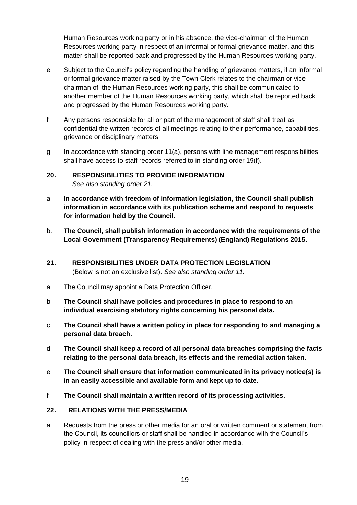Human Resources working party or in his absence, the vice-chairman of the Human Resources working party in respect of an informal or formal grievance matter, and this matter shall be reported back and progressed by the Human Resources working party.

- e Subject to the Council's policy regarding the handling of grievance matters, if an informal or formal grievance matter raised by the Town Clerk relates to the chairman or vicechairman of the Human Resources working party, this shall be communicated to another member of the Human Resources working party, which shall be reported back and progressed by the Human Resources working party.
- f Any persons responsible for all or part of the management of staff shall treat as confidential the written records of all meetings relating to their performance, capabilities, grievance or disciplinary matters.
- g In accordance with standing order 11(a), persons with line management responsibilities shall have access to staff records referred to in standing order 19(f).

# <span id="page-18-0"></span>**20. RESPONSIBILITIES TO PROVIDE INFORMATION**  *See also standing order 21.*

- a **In accordance with freedom of information legislation, the Council shall publish information in accordance with its publication scheme and respond to requests for information held by the Council.**
- b. **The Council, shall publish information in accordance with the requirements of the Local Government (Transparency Requirements) (England) Regulations 2015**.
- <span id="page-18-1"></span>**21. RESPONSIBILITIES UNDER DATA PROTECTION LEGISLATION**  (Below is not an exclusive list). *See also standing order 11.*
- a The Council may appoint a Data Protection Officer.
- b **The Council shall have policies and procedures in place to respond to an individual exercising statutory rights concerning his personal data.**
- c **The Council shall have a written policy in place for responding to and managing a personal data breach.**
- d **The Council shall keep a record of all personal data breaches comprising the facts relating to the personal data breach, its effects and the remedial action taken.**
- e **The Council shall ensure that information communicated in its privacy notice(s) is in an easily accessible and available form and kept up to date.**
- f **The Council shall maintain a written record of its processing activities.**

#### <span id="page-18-2"></span>**22. RELATIONS WITH THE PRESS/MEDIA**

a Requests from the press or other media for an oral or written comment or statement from the Council, its councillors or staff shall be handled in accordance with the Council's policy in respect of dealing with the press and/or other media.